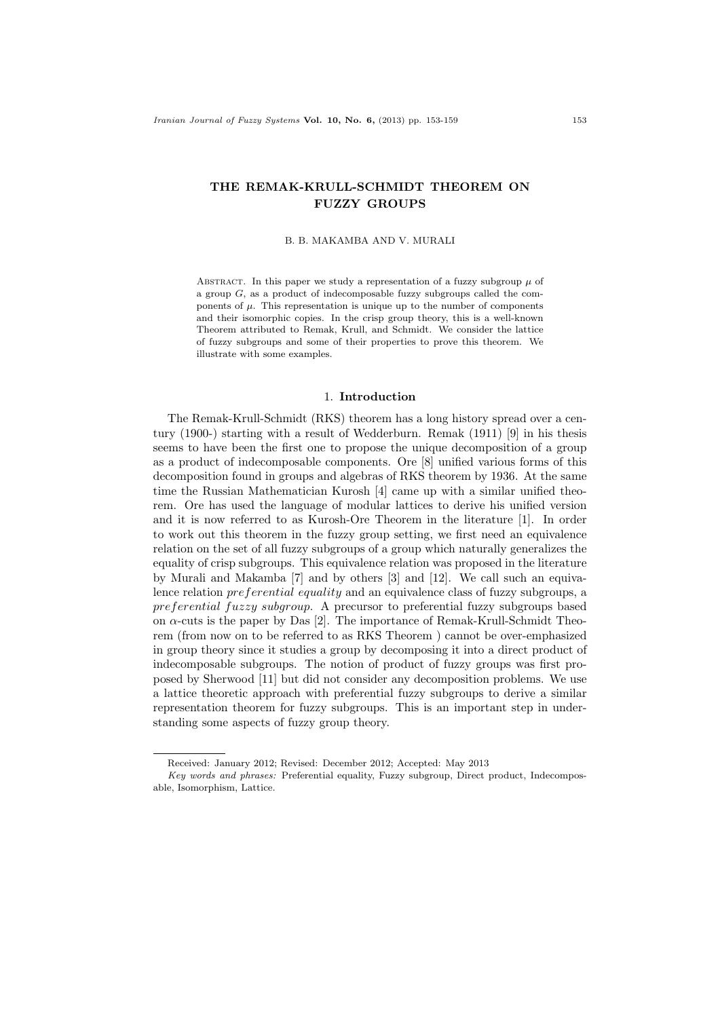# THE REMAK-KRULL-SCHMIDT THEOREM ON FUZZY GROUPS

B. B. MAKAMBA AND V. MURALI

ABSTRACT. In this paper we study a representation of a fuzzy subgroup  $\mu$  of a group G, as a product of indecomposable fuzzy subgroups called the components of  $\mu$ . This representation is unique up to the number of components and their isomorphic copies. In the crisp group theory, this is a well-known Theorem attributed to Remak, Krull, and Schmidt. We consider the lattice of fuzzy subgroups and some of their properties to prove this theorem. We illustrate with some examples.

#### 1. Introduction

The Remak-Krull-Schmidt (RKS) theorem has a long history spread over a century (1900-) starting with a result of Wedderburn. Remak (1911) [9] in his thesis seems to have been the first one to propose the unique decomposition of a group as a product of indecomposable components. Ore [8] unified various forms of this decomposition found in groups and algebras of RKS theorem by 1936. At the same time the Russian Mathematician Kurosh [4] came up with a similar unified theorem. Ore has used the language of modular lattices to derive his unified version and it is now referred to as Kurosh-Ore Theorem in the literature [1]. In order to work out this theorem in the fuzzy group setting, we first need an equivalence relation on the set of all fuzzy subgroups of a group which naturally generalizes the equality of crisp subgroups. This equivalence relation was proposed in the literature by Murali and Makamba [7] and by others [3] and [12]. We call such an equivalence relation preferential equality and an equivalence class of fuzzy subgroups, a preferential fuzzy subgroup. A precursor to preferential fuzzy subgroups based on α-cuts is the paper by Das [2]. The importance of Remak-Krull-Schmidt Theorem (from now on to be referred to as RKS Theorem ) cannot be over-emphasized in group theory since it studies a group by decomposing it into a direct product of indecomposable subgroups. The notion of product of fuzzy groups was first proposed by Sherwood [11] but did not consider any decomposition problems. We use a lattice theoretic approach with preferential fuzzy subgroups to derive a similar representation theorem for fuzzy subgroups. This is an important step in understanding some aspects of fuzzy group theory.

Received: January 2012; Revised: December 2012; Accepted: May 2013

Key words and phrases: Preferential equality, Fuzzy subgroup, Direct product, Indecomposable, Isomorphism, Lattice.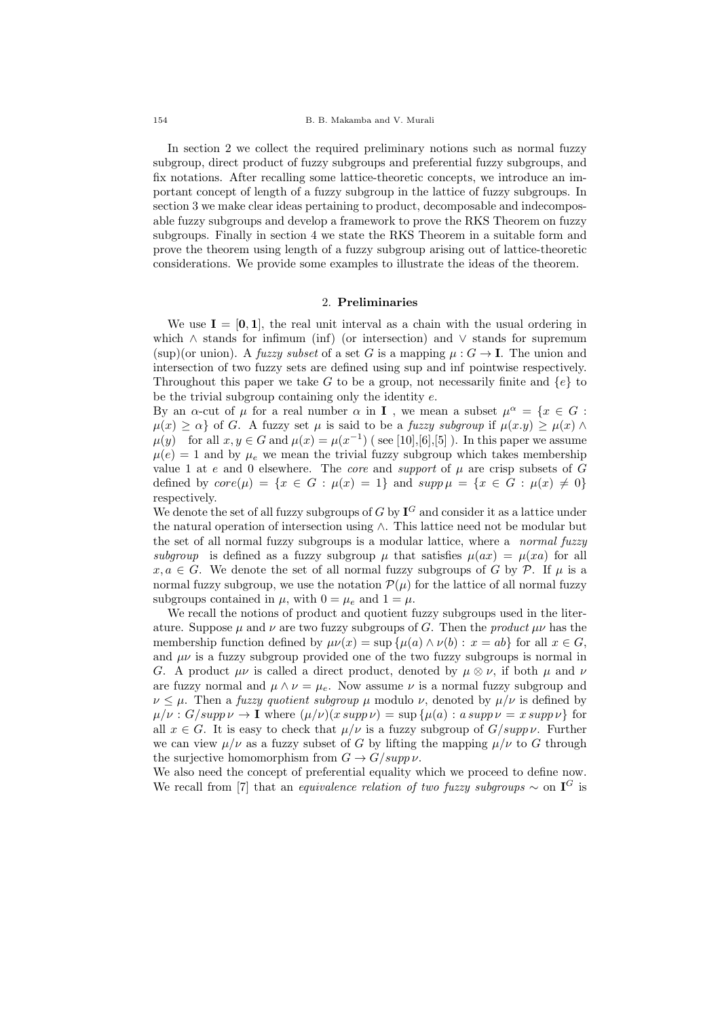In section 2 we collect the required preliminary notions such as normal fuzzy subgroup, direct product of fuzzy subgroups and preferential fuzzy subgroups, and fix notations. After recalling some lattice-theoretic concepts, we introduce an important concept of length of a fuzzy subgroup in the lattice of fuzzy subgroups. In section 3 we make clear ideas pertaining to product, decomposable and indecomposable fuzzy subgroups and develop a framework to prove the RKS Theorem on fuzzy subgroups. Finally in section 4 we state the RKS Theorem in a suitable form and prove the theorem using length of a fuzzy subgroup arising out of lattice-theoretic considerations. We provide some examples to illustrate the ideas of the theorem.

## 2. Preliminaries

We use  $I = [0, 1]$ , the real unit interval as a chain with the usual ordering in which  $\wedge$  stands for infimum (inf) (or intersection) and  $\vee$  stands for supremum (sup)(or union). A fuzzy subset of a set G is a mapping  $\mu: G \to \mathbf{I}$ . The union and intersection of two fuzzy sets are defined using sup and inf pointwise respectively. Throughout this paper we take G to be a group, not necessarily finite and  $\{e\}$  to be the trivial subgroup containing only the identity e.

By an  $\alpha$ -cut of  $\mu$  for a real number  $\alpha$  in **I**, we mean a subset  $\mu^{\alpha} = \{x \in G :$  $\mu(x) \ge \alpha$  of G. A fuzzy set  $\mu$  is said to be a *fuzzy subgroup* if  $\mu(x,y) \ge \mu(x) \wedge$  $\mu(y)$  for all  $x, y \in G$  and  $\mu(x) = \mu(x^{-1})$  (see [10], [6], [5]). In this paper we assume  $\mu(e) = 1$  and by  $\mu_e$  we mean the trivial fuzzy subgroup which takes membership value 1 at  $e$  and 0 elsewhere. The *core* and *support* of  $\mu$  are crisp subsets of  $G$ defined by  $core(\mu) = \{x \in G : \mu(x) = 1\}$  and  $supp \mu = \{x \in G : \mu(x) \neq 0\}$ respectively.

We denote the set of all fuzzy subgroups of G by  $I^G$  and consider it as a lattice under the natural operation of intersection using ∧. This lattice need not be modular but the set of all normal fuzzy subgroups is a modular lattice, where a *normal fuzzy* subgroup is defined as a fuzzy subgroup  $\mu$  that satisfies  $\mu(ax) = \mu(xa)$  for all  $x, a \in G$ . We denote the set of all normal fuzzy subgroups of G by P. If  $\mu$  is a normal fuzzy subgroup, we use the notation  $\mathcal{P}(\mu)$  for the lattice of all normal fuzzy subgroups contained in  $\mu$ , with  $0 = \mu_e$  and  $1 = \mu$ .

We recall the notions of product and quotient fuzzy subgroups used in the literature. Suppose  $\mu$  and  $\nu$  are two fuzzy subgroups of G. Then the product  $\mu\nu$  has the membership function defined by  $\mu\nu(x) = \sup \{ \mu(a) \wedge \nu(b) : x = ab \}$  for all  $x \in G$ , and  $\mu\nu$  is a fuzzy subgroup provided one of the two fuzzy subgroups is normal in G. A product  $\mu\nu$  is called a direct product, denoted by  $\mu \otimes \nu$ , if both  $\mu$  and  $\nu$ are fuzzy normal and  $\mu \wedge \nu = \mu_e$ . Now assume  $\nu$  is a normal fuzzy subgroup and  $\nu \leq \mu$ . Then a *fuzzy quotient subgroup*  $\mu$  modulo  $\nu$ , denoted by  $\mu/\nu$  is defined by  $\mu/\nu$ :  $G/supp \nu \to \mathbf{I}$  where  $(\mu/\nu)(x supp \nu) = \sup \{\mu(a) : a supp \nu = x supp \nu\}$  for all  $x \in G$ . It is easy to check that  $\mu/\nu$  is a fuzzy subgroup of  $G/supp \nu$ . Further we can view  $\mu/\nu$  as a fuzzy subset of G by lifting the mapping  $\mu/\nu$  to G through the surjective homomorphism from  $G \to G/supp \nu$ .

We also need the concept of preferential equality which we proceed to define now. We recall from [7] that an *equivalence relation of two fuzzy subgroups*  $\sim$  on  $I^G$  is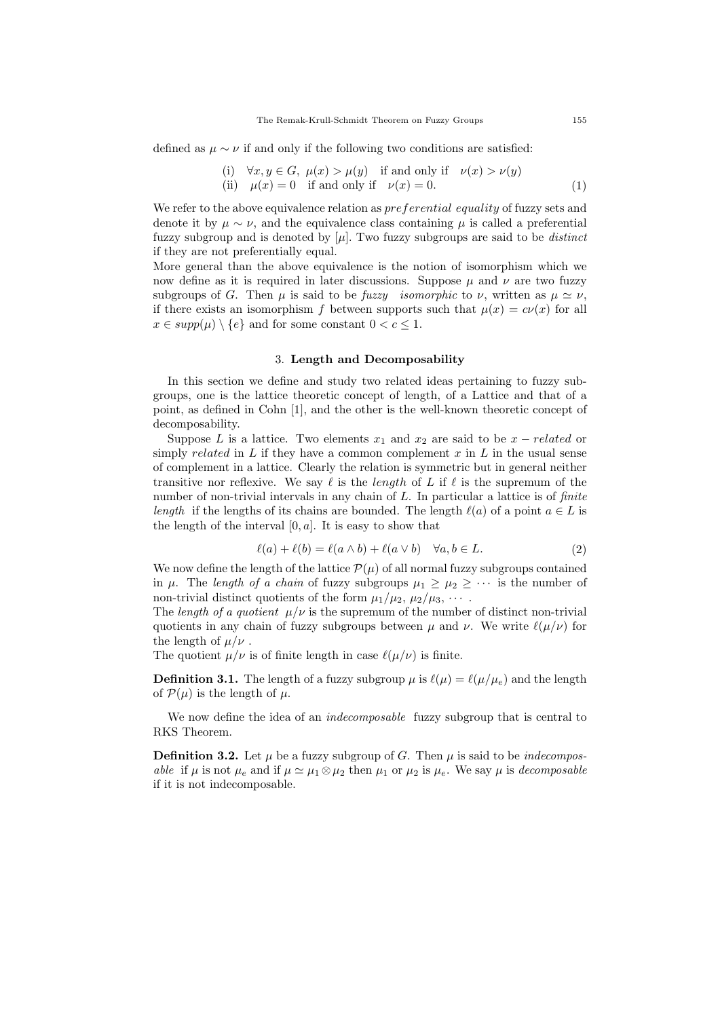defined as  $\mu \sim \nu$  if and only if the following two conditions are satisfied:

(i) 
$$
\forall x, y \in G, \mu(x) > \mu(y)
$$
 if and only if  $\nu(x) > \nu(y)$   
(ii)  $\mu(x) = 0$  if and only if  $\nu(x) = 0$ . (1)

We refer to the above equivalence relation as *preferential equality* of fuzzy sets and denote it by  $\mu \sim \nu$ , and the equivalence class containing  $\mu$  is called a preferential fuzzy subgroup and is denoted by  $[\mu]$ . Two fuzzy subgroups are said to be *distinct* if they are not preferentially equal.

More general than the above equivalence is the notion of isomorphism which we now define as it is required in later discussions. Suppose  $\mu$  and  $\nu$  are two fuzzy subgroups of G. Then  $\mu$  is said to be *fuzzy isomorphic* to  $\nu$ , written as  $\mu \simeq \nu$ , if there exists an isomorphism f between supports such that  $\mu(x) = c\nu(x)$  for all  $x \in supp(\mu) \setminus \{e\}$  and for some constant  $0 < c \leq 1$ .

### 3. Length and Decomposability

In this section we define and study two related ideas pertaining to fuzzy subgroups, one is the lattice theoretic concept of length, of a Lattice and that of a point, as defined in Cohn [1], and the other is the well-known theoretic concept of decomposability.

Suppose L is a lattice. Two elements  $x_1$  and  $x_2$  are said to be  $x$  – related or simply *related* in L if they have a common complement x in L in the usual sense of complement in a lattice. Clearly the relation is symmetric but in general neither transitive nor reflexive. We say  $\ell$  is the length of L if  $\ell$  is the supremum of the number of non-trivial intervals in any chain of  $L$ . In particular a lattice is of *finite* length if the lengths of its chains are bounded. The length  $\ell(a)$  of a point  $a \in L$  is the length of the interval  $[0, a]$ . It is easy to show that

$$
\ell(a) + \ell(b) = \ell(a \wedge b) + \ell(a \vee b) \quad \forall a, b \in L.
$$
 (2)

We now define the length of the lattice  $\mathcal{P}(\mu)$  of all normal fuzzy subgroups contained in  $\mu$ . The length of a chain of fuzzy subgroups  $\mu_1 \geq \mu_2 \geq \cdots$  is the number of non-trivial distinct quotients of the form  $\mu_1/\mu_2$ ,  $\mu_2/\mu_3$ ,  $\cdots$ .

The length of a quotient  $\mu/\nu$  is the supremum of the number of distinct non-trivial quotients in any chain of fuzzy subgroups between  $\mu$  and  $\nu$ . We write  $\ell(\mu/\nu)$  for the length of  $\mu/\nu$ .

The quotient  $\mu/\nu$  is of finite length in case  $\ell(\mu/\nu)$  is finite.

**Definition 3.1.** The length of a fuzzy subgroup  $\mu$  is  $\ell(\mu) = \ell(\mu/\mu_e)$  and the length of  $\mathcal{P}(\mu)$  is the length of  $\mu$ .

We now define the idea of an *indecomposable* fuzzy subgroup that is central to RKS Theorem.

**Definition 3.2.** Let  $\mu$  be a fuzzy subgroup of G. Then  $\mu$  is said to be *indecompos*able if  $\mu$  is not  $\mu_e$  and if  $\mu \simeq \mu_1 \otimes \mu_2$  then  $\mu_1$  or  $\mu_2$  is  $\mu_e$ . We say  $\mu$  is decomposable if it is not indecomposable.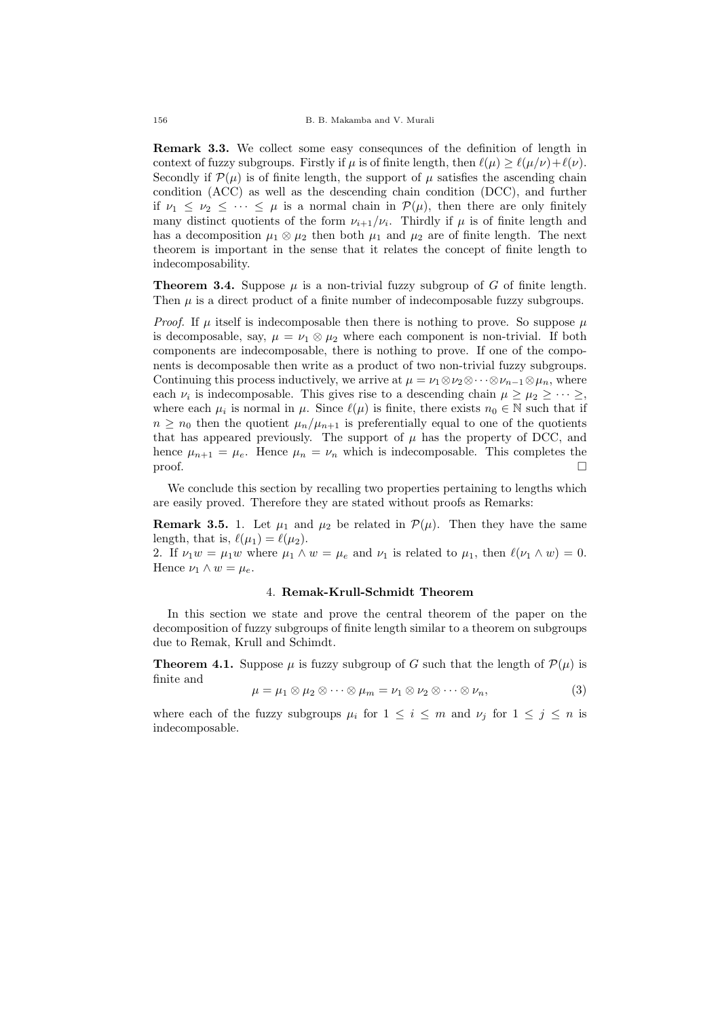Remark 3.3. We collect some easy consequnces of the definition of length in context of fuzzy subgroups. Firstly if  $\mu$  is of finite length, then  $\ell(\mu) \geq \ell(\mu/\nu)+\ell(\nu)$ . Secondly if  $\mathcal{P}(\mu)$  is of finite length, the support of  $\mu$  satisfies the ascending chain condition (ACC) as well as the descending chain condition (DCC), and further if  $\nu_1 \leq \nu_2 \leq \cdots \leq \mu$  is a normal chain in  $\mathcal{P}(\mu)$ , then there are only finitely many distinct quotients of the form  $\nu_{i+1}/\nu_i$ . Thirdly if  $\mu$  is of finite length and has a decomposition  $\mu_1 \otimes \mu_2$  then both  $\mu_1$  and  $\mu_2$  are of finite length. The next theorem is important in the sense that it relates the concept of finite length to indecomposability.

**Theorem 3.4.** Suppose  $\mu$  is a non-trivial fuzzy subgroup of G of finite length. Then  $\mu$  is a direct product of a finite number of indecomposable fuzzy subgroups.

*Proof.* If  $\mu$  itself is indecomposable then there is nothing to prove. So suppose  $\mu$ is decomposable, say,  $\mu = \nu_1 \otimes \mu_2$  where each component is non-trivial. If both components are indecomposable, there is nothing to prove. If one of the components is decomposable then write as a product of two non-trivial fuzzy subgroups. Continuing this process inductively, we arrive at  $\mu = \nu_1 \otimes \nu_2 \otimes \cdots \otimes \nu_{n-1} \otimes \mu_n$ , where each  $\nu_i$  is indecomposable. This gives rise to a descending chain  $\mu \geq \mu_2 \geq \cdots \geq$ , where each  $\mu_i$  is normal in  $\mu$ . Since  $\ell(\mu)$  is finite, there exists  $n_0 \in \mathbb{N}$  such that if  $n \geq n_0$  then the quotient  $\mu_n/\mu_{n+1}$  is preferentially equal to one of the quotients that has appeared previously. The support of  $\mu$  has the property of DCC, and hence  $\mu_{n+1} = \mu_e$ . Hence  $\mu_n = \nu_n$  which is indecomposable. This completes the  $\Box$ 

We conclude this section by recalling two properties pertaining to lengths which are easily proved. Therefore they are stated without proofs as Remarks:

**Remark 3.5.** 1. Let  $\mu_1$  and  $\mu_2$  be related in  $\mathcal{P}(\mu)$ . Then they have the same length, that is,  $\ell(\mu_1) = \ell(\mu_2)$ .

2. If  $\nu_1 w = \mu_1 w$  where  $\mu_1 \wedge w = \mu_e$  and  $\nu_1$  is related to  $\mu_1$ , then  $\ell(\nu_1 \wedge w) = 0$ . Hence  $\nu_1 \wedge w = \mu_e$ .

## 4. Remak-Krull-Schmidt Theorem

In this section we state and prove the central theorem of the paper on the decomposition of fuzzy subgroups of finite length similar to a theorem on subgroups due to Remak, Krull and Schimdt.

**Theorem 4.1.** Suppose  $\mu$  is fuzzy subgroup of G such that the length of  $\mathcal{P}(\mu)$  is finite and

$$
\mu = \mu_1 \otimes \mu_2 \otimes \cdots \otimes \mu_m = \nu_1 \otimes \nu_2 \otimes \cdots \otimes \nu_n, \tag{3}
$$

where each of the fuzzy subgroups  $\mu_i$  for  $1 \leq i \leq m$  and  $\nu_j$  for  $1 \leq j \leq n$  is indecomposable.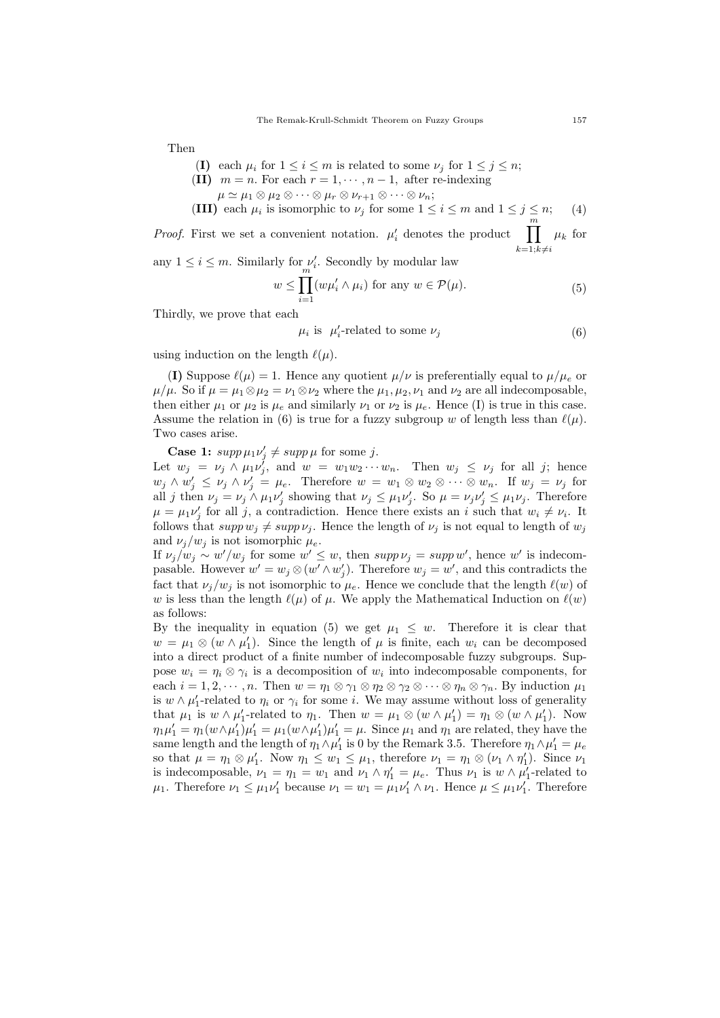Then

- (I) each  $\mu_i$  for  $1 \leq i \leq m$  is related to some  $\nu_j$  for  $1 \leq j \leq n$ ;
- (II)  $m = n$ . For each  $r = 1, \dots, n 1$ , after re-indexing
	- $\mu \simeq \mu_1 \otimes \mu_2 \otimes \cdots \otimes \mu_r \otimes \nu_{r+1} \otimes \cdots \otimes \nu_n;$
- (III) each  $\mu_i$  is isomorphic to  $\nu_j$  for some  $1 \leq i \leq m$  and  $1 \leq j \leq n$ ; (4)

*Proof.* First we set a convenient notation.  $\mu'_i$  denotes the product  $\prod^m$  $k=1; k\neq i$  $\mu_k$  for

any  $1 \leq i \leq m$ . Similarly for  $\nu'_i$ . Secondly by modular law

$$
w \le \prod_{i=1}^{m} (w\mu'_i \wedge \mu_i) \text{ for any } w \in \mathcal{P}(\mu). \tag{5}
$$

Thirdly, we prove that each

$$
\mu_i \text{ is } \mu'_i\text{-related to some } \nu_j \tag{6}
$$

using induction on the length  $\ell(\mu)$ .

(I) Suppose  $\ell(\mu) = 1$ . Hence any quotient  $\mu/\nu$  is preferentially equal to  $\mu/\mu_e$  or  $\mu/\mu$ . So if  $\mu = \mu_1 \otimes \mu_2 = \nu_1 \otimes \nu_2$  where the  $\mu_1, \mu_2, \nu_1$  and  $\nu_2$  are all indecomposable, then either  $\mu_1$  or  $\mu_2$  is  $\mu_e$  and similarly  $\nu_1$  or  $\nu_2$  is  $\mu_e$ . Hence (I) is true in this case. Assume the relation in (6) is true for a fuzzy subgroup w of length less than  $\ell(\mu)$ . Two cases arise.

**Case 1:**  $supp \mu_1 \nu'_j \neq supp \mu$  for some j.

Let  $w_j = \nu_j \wedge \mu_1 \nu_j^j$ , and  $w = w_1 w_2 \cdots w_n$ . Then  $w_j \leq \nu_j$  for all j; hence  $w_j \wedge w'_j \leq \nu_j \wedge \nu'_j = \mu_e$ . Therefore  $w = w_1 \otimes w_2 \otimes \cdots \otimes w_n$ . If  $w_j = \nu_j$  for all j then  $\nu_j = \nu_j \wedge \mu_1 \nu'_j$  showing that  $\nu_j \leq \mu_1 \nu'_j$ . So  $\mu = \nu_j \nu'_j \leq \mu_1 \nu_j$ . Therefore  $\mu = \mu_1 \nu'_j$  for all j, a contradiction. Hence there exists an i such that  $w_i \neq v_i$ . It follows that  $supp w_j \neq supp v_j$ . Hence the length of  $v_j$  is not equal to length of  $w_j$ and  $\nu_j/w_j$  is not isomorphic  $\mu_e$ .

If  $\nu_j/w_j \sim w'/w_j$  for some  $w' \leq w$ , then  $supp \nu_j = supp w'$ , hence w' is indecompasable. However  $w' = w_j \otimes (w' \wedge w'_j)$ . Therefore  $w_j = w'$ , and this contradicts the fact that  $\nu_j/w_j$  is not isomorphic to  $\mu_e$ . Hence we conclude that the length  $\ell(w)$  of w is less than the length  $\ell(\mu)$  of  $\mu$ . We apply the Mathematical Induction on  $\ell(w)$ as follows:

By the inequality in equation (5) we get  $\mu_1 \leq w$ . Therefore it is clear that  $w = \mu_1 \otimes (w \wedge \mu'_1)$ . Since the length of  $\mu$  is finite, each  $w_i$  can be decomposed into a direct product of a finite number of indecomposable fuzzy subgroups. Suppose  $w_i = \eta_i \otimes \gamma_i$  is a decomposition of  $w_i$  into indecomposable components, for each  $i = 1, 2, \dots, n$ . Then  $w = \eta_1 \otimes \eta_1 \otimes \eta_2 \otimes \cdots \otimes \eta_n \otimes \eta_n$ . By induction  $\mu_1$ is  $w \wedge \mu'_1$ -related to  $\eta_i$  or  $\gamma_i$  for some *i*. We may assume without loss of generality that  $\mu_1$  is  $w \wedge \mu_1'$ -related to  $\eta_1$ . Then  $w = \mu_1 \otimes (w \wedge \mu_1') = \eta_1 \otimes (w \wedge \mu_1')$ . Now  $\eta_1\mu'_1 = \eta_1(w\wedge\mu'_1)\mu'_1 = \mu_1(w\wedge\mu'_1)\mu'_1 = \mu$ . Since  $\mu_1$  and  $\eta_1$  are related, they have the same length and the length of  $\eta_1 \wedge \mu'_1$  is 0 by the Remark 3.5. Therefore  $\eta_1 \wedge \mu'_1 = \mu_e$ so that  $\mu = \eta_1 \otimes \mu'_1$ . Now  $\eta_1 \leq w_1 \leq \mu_1$ , therefore  $\nu_1 = \eta_1 \otimes (\nu_1 \wedge \eta'_1)$ . Since  $\nu_1$ is indecomposable,  $\nu_1 = \eta_1 = w_1$  and  $\nu_1 \wedge \eta'_1 = \mu_e$ . Thus  $\nu_1$  is  $w \wedge \mu'_1$ -related to  $\mu_1$ . Therefore  $\nu_1 \leq \mu_1 \nu'_1$  because  $\nu_1 = w_1 = \mu_1 \nu'_1 \wedge \nu_1$ . Hence  $\mu \leq \mu_1 \nu'_1$ . Therefore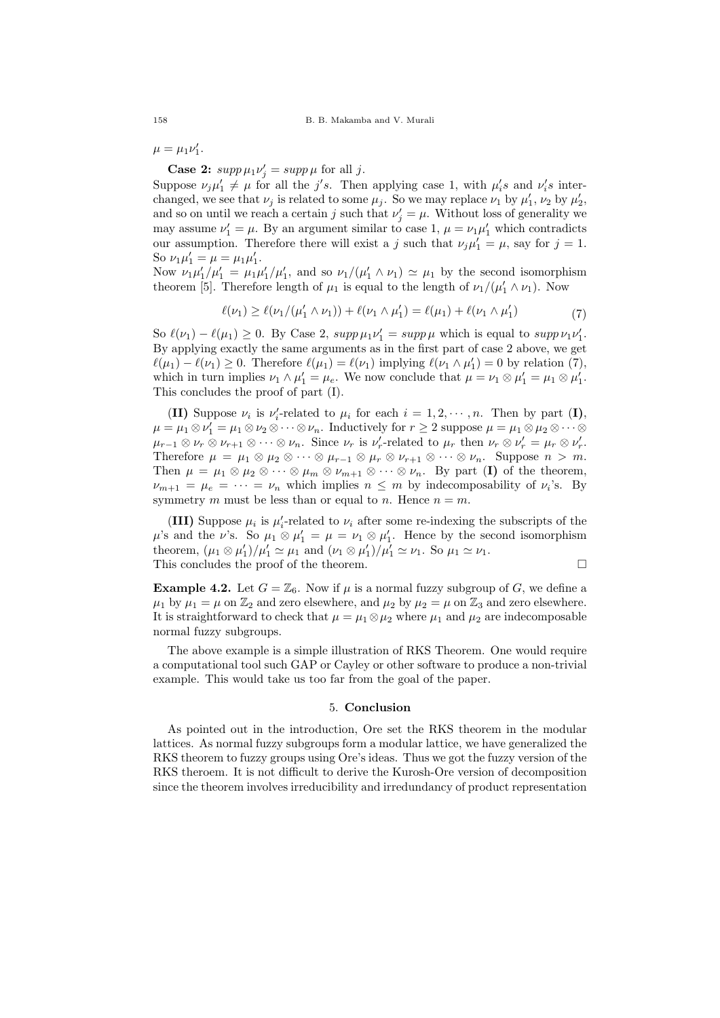$\mu = \mu_1 \nu'_1.$ 

**Case 2:**  $supp \mu_1 \nu'_j = supp \mu$  for all j.

Suppose  $\nu_j \mu'_1 \neq \mu$  for all the j's. Then applying case 1, with  $\mu'_i s$  and  $\nu'_i s$  interchanged, we see that  $\nu_j$  is related to some  $\mu_j$ . So we may replace  $\nu_1$  by  $\mu'_1$ ,  $\nu_2$  by  $\mu'_2$ , and so on until we reach a certain j such that  $\nu'_{j} = \mu$ . Without loss of generality we may assume  $\nu'_1 = \mu$ . By an argument similar to case 1,  $\mu = \nu_1 \mu'_1$  which contradicts our assumption. Therefore there will exist a j such that  $\nu_j \mu'_1 = \mu$ , say for  $j = 1$ . So  $\nu_1 \mu'_1 = \mu = \mu_1 \mu'_1$ .

Now  $\nu_1\mu'_1/\mu'_1 = \mu_1\mu'_1/\mu'_1$ , and so  $\nu_1/(\mu'_1 \wedge \nu_1) \simeq \mu_1$  by the second isomorphism theorem [5]. Therefore length of  $\mu_1$  is equal to the length of  $\nu_1/(\mu'_1 \wedge \nu_1)$ . Now

$$
\ell(\nu_1) \ge \ell(\nu_1/(\mu_1' \wedge \nu_1)) + \ell(\nu_1 \wedge \mu_1') = \ell(\mu_1) + \ell(\nu_1 \wedge \mu_1')
$$
(7)

So  $\ell(\nu_1) - \ell(\mu_1) \ge 0$ . By Case 2,  $supp \mu_1 \nu_1' = supp \mu$  which is equal to  $supp \nu_1 \nu_1'$ . By applying exactly the same arguments as in the first part of case 2 above, we get  $\ell(\mu_1) - \ell(\nu_1) \geq 0$ . Therefore  $\ell(\mu_1) = \ell(\nu_1)$  implying  $\ell(\nu_1 \wedge \mu_1') = 0$  by relation (7), which in turn implies  $\nu_1 \wedge \mu'_1 = \mu_e$ . We now conclude that  $\mu = \nu_1 \otimes \mu'_1 = \mu_1 \otimes \mu'_1$ . This concludes the proof of part (I).

(II) Suppose  $\nu_i$  is  $\nu'_i$ -related to  $\mu_i$  for each  $i = 1, 2, \dots, n$ . Then by part (I),  $\mu = \mu_1 \otimes \nu_1' = \mu_1 \otimes \nu_2 \otimes \cdots \otimes \nu_n$ . Inductively for  $r \geq 2$  suppose  $\mu = \mu_1 \otimes \mu_2 \otimes \cdots \otimes \nu_n$  $\mu_{r-1} \otimes \nu_r \otimes \nu_{r+1} \otimes \cdots \otimes \nu_n$ . Since  $\nu_r$  is  $\nu'_r$ -related to  $\mu_r$  then  $\nu_r \otimes \nu'_r = \mu_r \otimes \nu'_r$ . Therefore  $\mu = \mu_1 \otimes \mu_2 \otimes \cdots \otimes \mu_{r-1} \otimes \mu_r \otimes \nu_{r+1} \otimes \cdots \otimes \nu_n$ . Suppose  $n > m$ . Then  $\mu = \mu_1 \otimes \mu_2 \otimes \cdots \otimes \mu_m \otimes \nu_{m+1} \otimes \cdots \otimes \nu_n$ . By part (I) of the theorem,  $\nu_{m+1} = \mu_e = \cdots = \nu_n$  which implies  $n \leq m$  by indecomposability of  $\nu_i$ 's. By symmetry m must be less than or equal to n. Hence  $n = m$ .

(III) Suppose  $\mu_i$  is  $\mu'_i$ -related to  $\nu_i$  after some re-indexing the subscripts of the  $\mu$ 's and the  $\nu$ 's. So  $\mu_1 \otimes \mu'_1 = \mu = \nu_1 \otimes \mu'_1$ . Hence by the second isomorphism theorem,  $(\mu_1 \otimes \mu'_1)/\mu'_1 \simeq \mu_1$  and  $(\nu_1 \otimes \mu'_1)/\mu'_1 \simeq \nu_1$ . So  $\mu_1 \simeq \nu_1$ . This concludes the proof of the theorem.  $\Box$ 

**Example 4.2.** Let  $G = \mathbb{Z}_6$ . Now if  $\mu$  is a normal fuzzy subgroup of G, we define a  $\mu_1$  by  $\mu_1 = \mu$  on  $\mathbb{Z}_2$  and zero elsewhere, and  $\mu_2$  by  $\mu_2 = \mu$  on  $\mathbb{Z}_3$  and zero elsewhere. It is straightforward to check that  $\mu = \mu_1 \otimes \mu_2$  where  $\mu_1$  and  $\mu_2$  are indecomposable normal fuzzy subgroups.

The above example is a simple illustration of RKS Theorem. One would require a computational tool such GAP or Cayley or other software to produce a non-trivial example. This would take us too far from the goal of the paper.

## 5. Conclusion

As pointed out in the introduction, Ore set the RKS theorem in the modular lattices. As normal fuzzy subgroups form a modular lattice, we have generalized the RKS theorem to fuzzy groups using Ore's ideas. Thus we got the fuzzy version of the RKS theroem. It is not difficult to derive the Kurosh-Ore version of decomposition since the theorem involves irreducibility and irredundancy of product representation